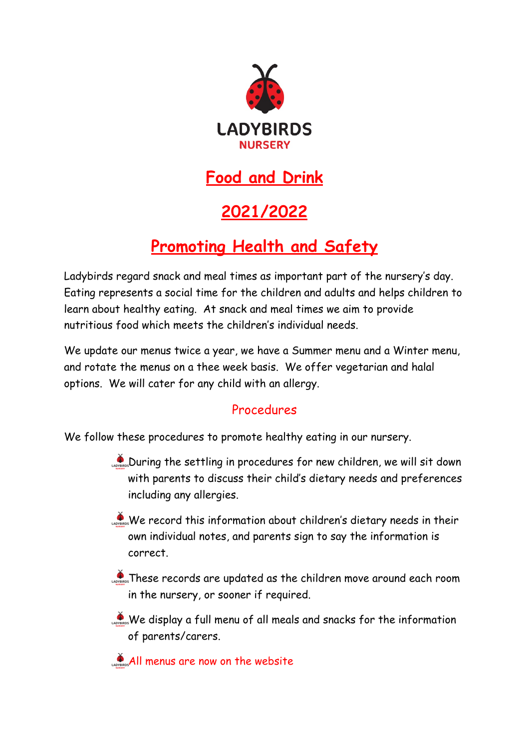

## **Food and Drink**

## **2021/2022**

## **Promoting Health and Safety**

Ladybirds regard snack and meal times as important part of the nursery's day. Eating represents a social time for the children and adults and helps children to learn about healthy eating. At snack and meal times we aim to provide nutritious food which meets the children's individual needs.

We update our menus twice a year, we have a Summer menu and a Winter menu, and rotate the menus on a thee week basis. We offer vegetarian and halal options. We will cater for any child with an allergy.

## Procedures

We follow these procedures to promote healthy eating in our nursery.

- $\sum_{n=1}^{\infty}$  During the settling in procedures for new children, we will sit down with parents to discuss their child's dietary needs and preferences including any allergies.
- We record this information about children's dietary needs in their own individual notes, and parents sign to say the information is correct.
- **A** These records are updated as the children move around each room in the nursery, or sooner if required.
- We display a full menu of all meals and snacks for the information of parents/carers.

All menus are now on the website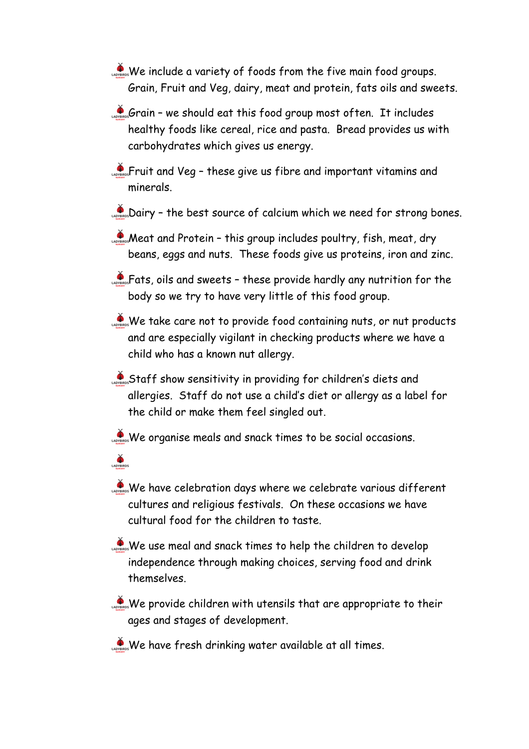- CROSERS We include a variety of foods from the five main food groups. Grain, Fruit and Veg, dairy, meat and protein, fats oils and sweets.
- Grain we should eat this food group most often. It includes healthy foods like cereal, rice and pasta. Bread provides us with carbohydrates which gives us energy.
- **AD**<sub>coversi</sub> Fruit and Veg these give us fibre and important vitamins and minerals.
- $\bullet$  Dairy the best source of calcium which we need for strong bones.
- $\bullet$  Meat and Protein this group includes poultry, fish, meat, dry beans, eggs and nuts. These foods give us proteins, iron and zinc.
- Fats, oils and sweets these provide hardly any nutrition for the body so we try to have very little of this food group.
- We take care not to provide food containing nuts, or nut products and are especially vigilant in checking products where we have a child who has a known nut allergy.
- Staff show sensitivity in providing for children's diets and allergies. Staff do not use a child's diet or allergy as a label for the child or make them feel singled out.
- We organise meals and snack times to be social occasions.

LADYBIRDS

- $\mathcal{L}_{\text{Lipyners}}$ We have celebration days where we celebrate various different cultures and religious festivals. On these occasions we have cultural food for the children to taste.
- We use meal and snack times to help the children to develop independence through making choices, serving food and drink themselves.
- We provide children with utensils that are appropriate to their ages and stages of development.
- We have fresh drinking water available at all times.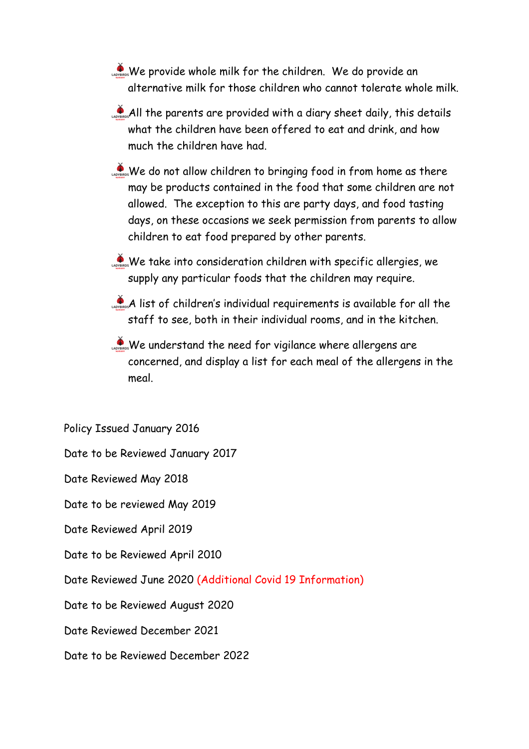$\sum_{n=1}^{\infty}$  We provide whole milk for the children. We do provide an alternative milk for those children who cannot tolerate whole milk.

 $\mathcal{A}$  All the parents are provided with a diary sheet daily, this details what the children have been offered to eat and drink, and how much the children have had.

We do not allow children to bringing food in from home as there may be products contained in the food that some children are not allowed. The exception to this are party days, and food tasting days, on these occasions we seek permission from parents to allow children to eat food prepared by other parents.

We take into consideration children with specific allergies, we supply any particular foods that the children may require.

- A list of children's individual requirements is available for all the staff to see, both in their individual rooms, and in the kitchen.
- We understand the need for vigilance where allergens are concerned, and display a list for each meal of the allergens in the meal.

Policy Issued January 2016

Date to be Reviewed January 2017

Date Reviewed May 2018

Date to be reviewed May 2019

Date Reviewed April 2019

Date to be Reviewed April 2010

Date Reviewed June 2020 (Additional Covid 19 Information)

Date to be Reviewed August 2020

Date Reviewed December 2021

Date to be Reviewed December 2022